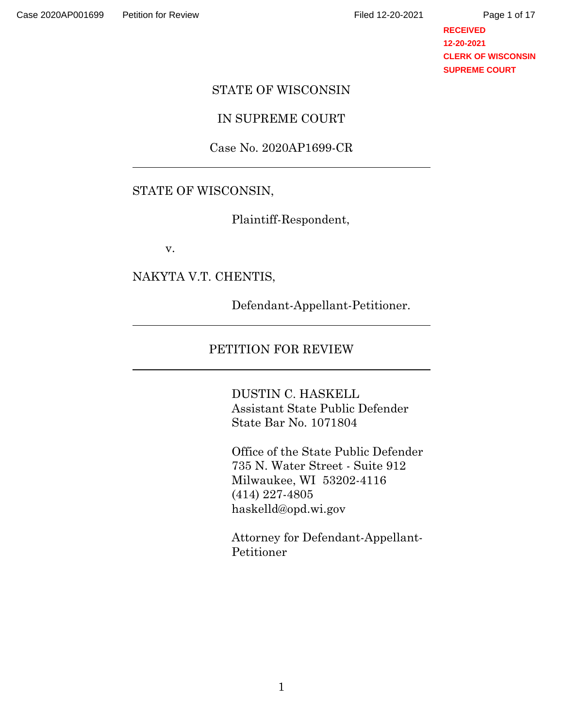**RECEIVED 12-20-2021 CLERK OF WISCONSIN SUPREME COURT**

### STATE OF WISCONSIN

# IN SUPREME COURT

### Case No. 2020AP1699-CR

### STATE OF WISCONSIN,

Plaintiff-Respondent,

v.

### NAKYTA V.T. CHENTIS,

Defendant-Appellant-Petitioner.

# PETITION FOR REVIEW

DUSTIN C. HASKELL Assistant State Public Defender State Bar No. 1071804

Office of the State Public Defender 735 N. Water Street - Suite 912 Milwaukee, WI 53202-4116 (414) 227-4805 haskelld@opd.wi.gov

Attorney for Defendant-Appellant-Petitioner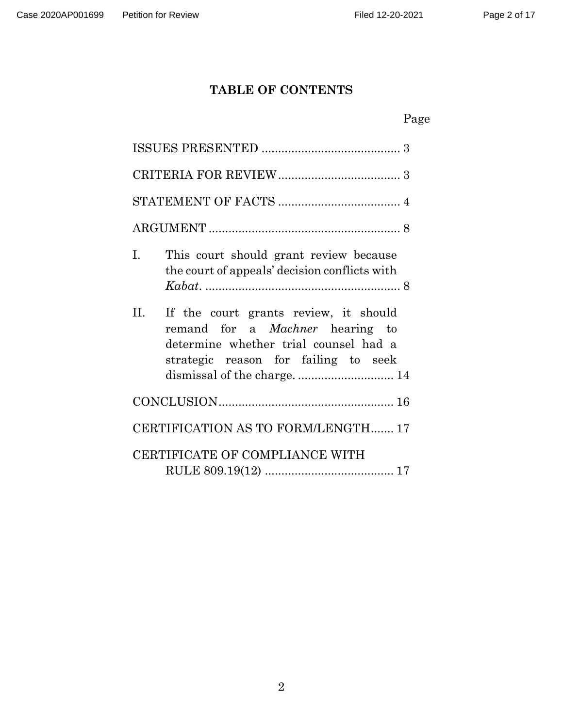# **TABLE OF CONTENTS**

|--|

| L.<br>This court should grant review because<br>the court of appeals' decision conflicts with                                                                                                           |
|---------------------------------------------------------------------------------------------------------------------------------------------------------------------------------------------------------|
| II.<br>If the court grants review, it should<br>remand for a <i>Machner</i> hearing to<br>determine whether trial counsel had a<br>strategic reason for failing to seek<br>dismissal of the charge.  14 |
|                                                                                                                                                                                                         |
| CERTIFICATION AS TO FORM/LENGTH 17                                                                                                                                                                      |
| CERTIFICATE OF COMPLIANCE WITH                                                                                                                                                                          |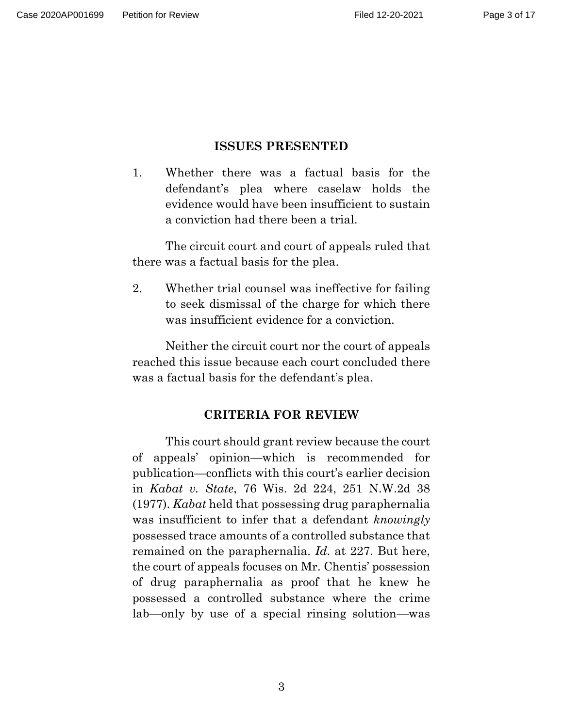## **ISSUES PRESENTED**

<span id="page-2-0"></span>1. Whether there was a factual basis for the defendant's plea where caselaw holds the evidence would have been insufficient to sustain a conviction had there been a trial.

The circuit court and court of appeals ruled that there was a factual basis for the plea.

2. Whether trial counsel was ineffective for failing to seek dismissal of the charge for which there was insufficient evidence for a conviction.

<span id="page-2-1"></span>Neither the circuit court nor the court of appeals reached this issue because each court concluded there was a factual basis for the defendant's plea.

## **CRITERIA FOR REVIEW**

This court should grant review because the court of appeals' opinion—which is recommended for publication—conflicts with this court's earlier decision in *Kabat v. State*, 76 Wis. 2d 224, 251 N.W.2d 38 (1977). *Kabat* held that possessing drug paraphernalia was insufficient to infer that a defendant *knowingly* possessed trace amounts of a controlled substance that remained on the paraphernalia. *Id.* at 227. But here, the court of appeals focuses on Mr. Chentis' possession of drug paraphernalia as proof that he knew he possessed a controlled substance where the crime lab—only by use of a special rinsing solution—was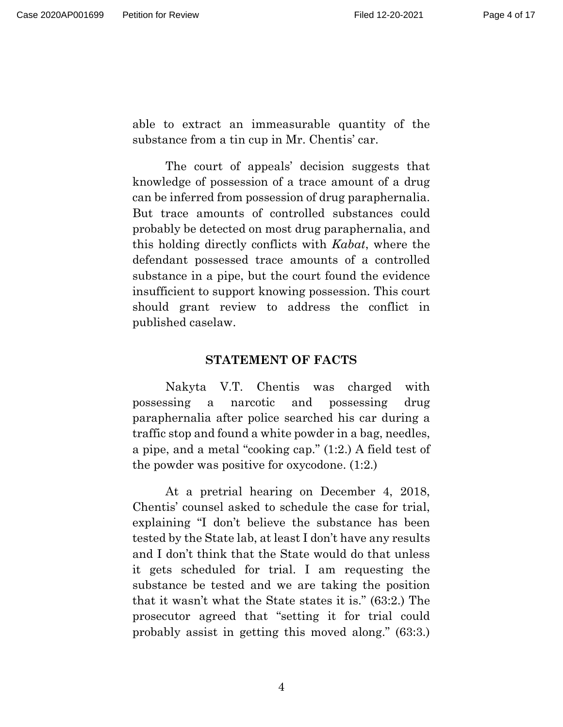able to extract an immeasurable quantity of the substance from a tin cup in Mr. Chentis' car.

The court of appeals' decision suggests that knowledge of possession of a trace amount of a drug can be inferred from possession of drug paraphernalia. But trace amounts of controlled substances could probably be detected on most drug paraphernalia, and this holding directly conflicts with *Kabat*, where the defendant possessed trace amounts of a controlled substance in a pipe, but the court found the evidence insufficient to support knowing possession. This court should grant review to address the conflict in published caselaw.

#### **STATEMENT OF FACTS**

<span id="page-3-0"></span>Nakyta V.T. Chentis was charged with possessing a narcotic and possessing drug paraphernalia after police searched his car during a traffic stop and found a white powder in a bag, needles, a pipe, and a metal "cooking cap." (1:2.) A field test of the powder was positive for oxycodone. (1:2.)

At a pretrial hearing on December 4, 2018, Chentis' counsel asked to schedule the case for trial, explaining "I don't believe the substance has been tested by the State lab, at least I don't have any results and I don't think that the State would do that unless it gets scheduled for trial. I am requesting the substance be tested and we are taking the position that it wasn't what the State states it is." (63:2.) The prosecutor agreed that "setting it for trial could probably assist in getting this moved along." (63:3.)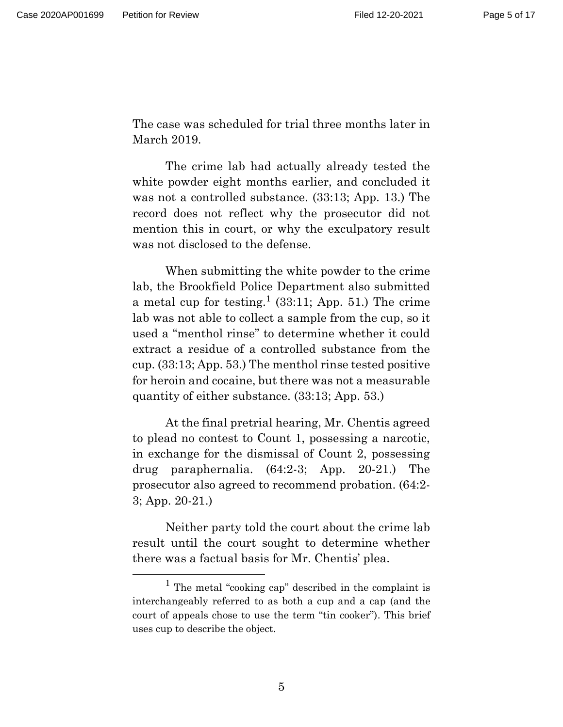The case was scheduled for trial three months later in March 2019.

The crime lab had actually already tested the white powder eight months earlier, and concluded it was not a controlled substance. (33:13; App. 13.) The record does not reflect why the prosecutor did not mention this in court, or why the exculpatory result was not disclosed to the defense.

When submitting the white powder to the crime lab, the Brookfield Police Department also submitted a metal cup for testing.<sup>1</sup> (33:11; App. 51.) The crime lab was not able to collect a sample from the cup, so it used a "menthol rinse" to determine whether it could extract a residue of a controlled substance from the cup. (33:13; App. 53.) The menthol rinse tested positive for heroin and cocaine, but there was not a measurable quantity of either substance. (33:13; App. 53.)

At the final pretrial hearing, Mr. Chentis agreed to plead no contest to Count 1, possessing a narcotic, in exchange for the dismissal of Count 2, possessing drug paraphernalia. (64:2-3; App. 20-21.) The prosecutor also agreed to recommend probation. (64:2- 3; App. 20-21.)

Neither party told the court about the crime lab result until the court sought to determine whether there was a factual basis for Mr. Chentis' plea.

<sup>&</sup>lt;sup>1</sup> The metal "cooking cap" described in the complaint is interchangeably referred to as both a cup and a cap (and the court of appeals chose to use the term "tin cooker"). This brief uses cup to describe the object.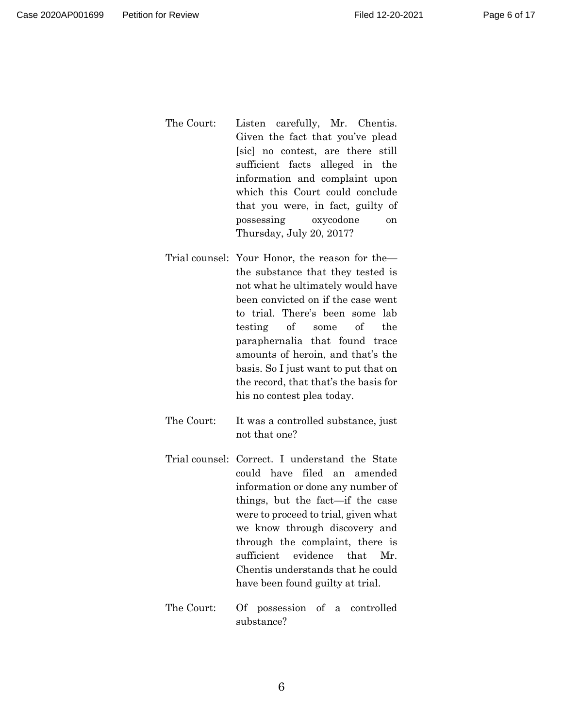- The Court: Listen carefully, Mr. Chentis. Given the fact that you've plead [sic] no contest, are there still sufficient facts alleged in the information and complaint upon which this Court could conclude that you were, in fact, guilty of possessing oxycodone on Thursday, July 20, 2017?
- Trial counsel: Your Honor, the reason for the the substance that they tested is not what he ultimately would have been convicted on if the case went to trial. There's been some lab testing of some of the paraphernalia that found trace amounts of heroin, and that's the basis. So I just want to put that on the record, that that's the basis for his no contest plea today.
- The Court: It was a controlled substance, just not that one?
- Trial counsel: Correct. I understand the State could have filed an amended information or done any number of things, but the fact—if the case were to proceed to trial, given what we know through discovery and through the complaint, there is sufficient evidence that Mr. Chentis understands that he could have been found guilty at trial.
- The Court: Of possession of a controlled substance?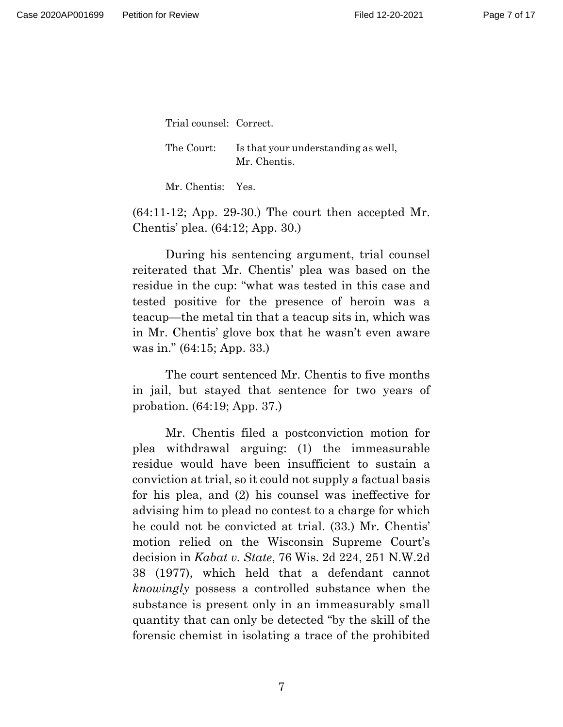Trial counsel: Correct.

The Court: Is that your understanding as well, Mr. Chentis.

Mr. Chentis: Yes.

 $(64:11-12;$  App. 29-30.) The court then accepted Mr. Chentis' plea. (64:12; App. 30.)

During his sentencing argument, trial counsel reiterated that Mr. Chentis' plea was based on the residue in the cup: "what was tested in this case and tested positive for the presence of heroin was a teacup—the metal tin that a teacup sits in, which was in Mr. Chentis' glove box that he wasn't even aware was in." (64:15; App. 33.)

The court sentenced Mr. Chentis to five months in jail, but stayed that sentence for two years of probation. (64:19; App. 37.)

Mr. Chentis filed a postconviction motion for plea withdrawal arguing: (1) the immeasurable residue would have been insufficient to sustain a conviction at trial, so it could not supply a factual basis for his plea, and (2) his counsel was ineffective for advising him to plead no contest to a charge for which he could not be convicted at trial. (33.) Mr. Chentis' motion relied on the Wisconsin Supreme Court's decision in *Kabat v. State*, 76 Wis. 2d 224, 251 N.W.2d 38 (1977), which held that a defendant cannot *knowingly* possess a controlled substance when the substance is present only in an immeasurably small quantity that can only be detected "by the skill of the forensic chemist in isolating a trace of the prohibited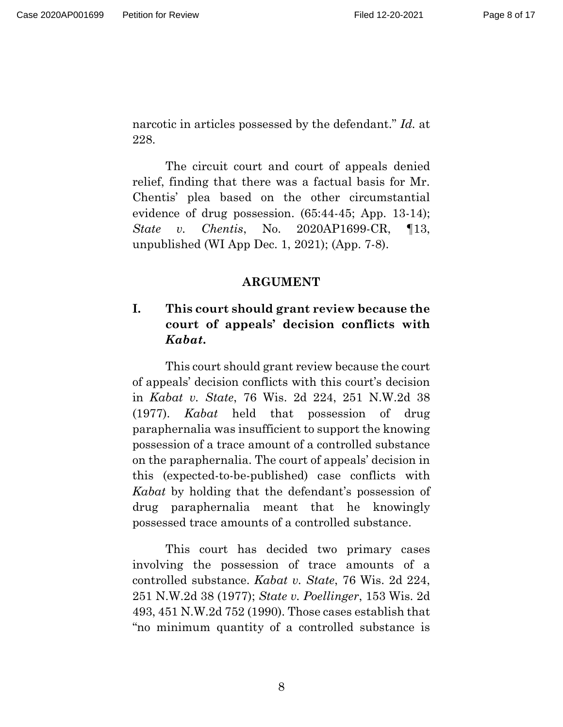narcotic in articles possessed by the defendant." *Id.* at 228.

The circuit court and court of appeals denied relief, finding that there was a factual basis for Mr. Chentis' plea based on the other circumstantial evidence of drug possession. (65:44-45; App. 13-14); *State v. Chentis*, No. 2020AP1699-CR, ¶13, unpublished (WI App Dec. 1, 2021); (App. 7-8).

## **ARGUMENT**

# <span id="page-7-1"></span><span id="page-7-0"></span>**I. This court should grant review because the court of appeals' decision conflicts with**  *Kabat***.**

This court should grant review because the court of appeals' decision conflicts with this court's decision in *Kabat v. State*, 76 Wis. 2d 224, 251 N.W.2d 38 (1977). *Kabat* held that possession of drug paraphernalia was insufficient to support the knowing possession of a trace amount of a controlled substance on the paraphernalia. The court of appeals' decision in this (expected-to-be-published) case conflicts with *Kabat* by holding that the defendant's possession of drug paraphernalia meant that he knowingly possessed trace amounts of a controlled substance.

This court has decided two primary cases involving the possession of trace amounts of a controlled substance. *Kabat v. State*, 76 Wis. 2d 224, 251 N.W.2d 38 (1977); *State v. Poellinger*, 153 Wis. 2d 493, 451 N.W.2d 752 (1990). Those cases establish that "no minimum quantity of a controlled substance is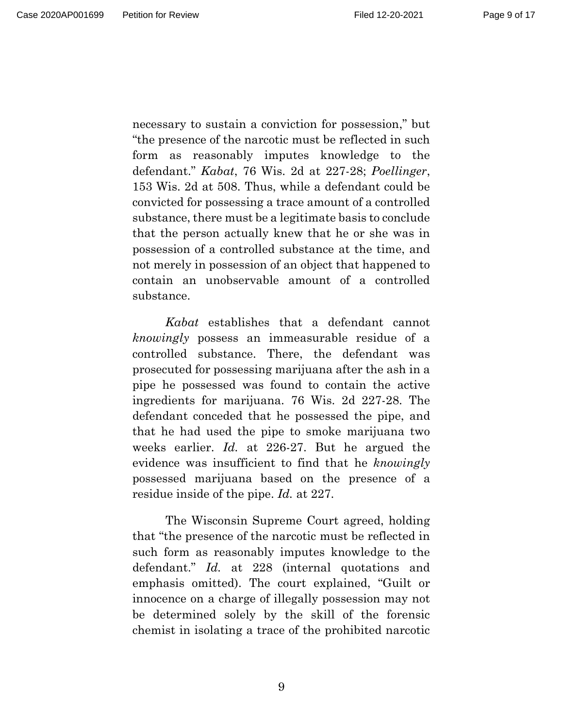necessary to sustain a conviction for possession," but "the presence of the narcotic must be reflected in such form as reasonably imputes knowledge to the defendant." *Kabat*, 76 Wis. 2d at 227-28; *Poellinger*, 153 Wis. 2d at 508. Thus, while a defendant could be convicted for possessing a trace amount of a controlled substance, there must be a legitimate basis to conclude that the person actually knew that he or she was in possession of a controlled substance at the time, and not merely in possession of an object that happened to contain an unobservable amount of a controlled substance.

*Kabat* establishes that a defendant cannot *knowingly* possess an immeasurable residue of a controlled substance. There, the defendant was prosecuted for possessing marijuana after the ash in a pipe he possessed was found to contain the active ingredients for marijuana. 76 Wis. 2d 227-28. The defendant conceded that he possessed the pipe, and that he had used the pipe to smoke marijuana two weeks earlier. *Id.* at 226-27. But he argued the evidence was insufficient to find that he *knowingly* possessed marijuana based on the presence of a residue inside of the pipe. *Id.* at 227.

The Wisconsin Supreme Court agreed, holding that "the presence of the narcotic must be reflected in such form as reasonably imputes knowledge to the defendant." *Id.* at 228 (internal quotations and emphasis omitted). The court explained, "Guilt or innocence on a charge of illegally possession may not be determined solely by the skill of the forensic chemist in isolating a trace of the prohibited narcotic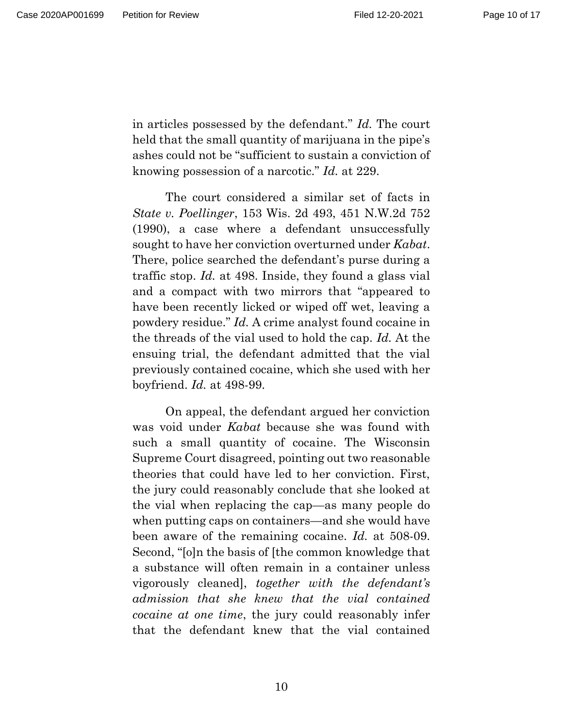Page 10 of 17

in articles possessed by the defendant." *Id.* The court held that the small quantity of marijuana in the pipe's ashes could not be "sufficient to sustain a conviction of knowing possession of a narcotic." *Id.* at 229.

The court considered a similar set of facts in *State v. Poellinger*, 153 Wis. 2d 493, 451 N.W.2d 752 (1990), a case where a defendant unsuccessfully sought to have her conviction overturned under *Kabat*. There, police searched the defendant's purse during a traffic stop. *Id.* at 498. Inside, they found a glass vial and a compact with two mirrors that "appeared to have been recently licked or wiped off wet, leaving a powdery residue." *Id.* A crime analyst found cocaine in the threads of the vial used to hold the cap. *Id.* At the ensuing trial, the defendant admitted that the vial previously contained cocaine, which she used with her boyfriend. *Id.* at 498-99.

On appeal, the defendant argued her conviction was void under *Kabat* because she was found with such a small quantity of cocaine. The Wisconsin Supreme Court disagreed, pointing out two reasonable theories that could have led to her conviction. First, the jury could reasonably conclude that she looked at the vial when replacing the cap—as many people do when putting caps on containers—and she would have been aware of the remaining cocaine. *Id.* at 508-09. Second, "[o]n the basis of [the common knowledge that a substance will often remain in a container unless vigorously cleaned], *together with the defendant's admission that she knew that the vial contained cocaine at one time*, the jury could reasonably infer that the defendant knew that the vial contained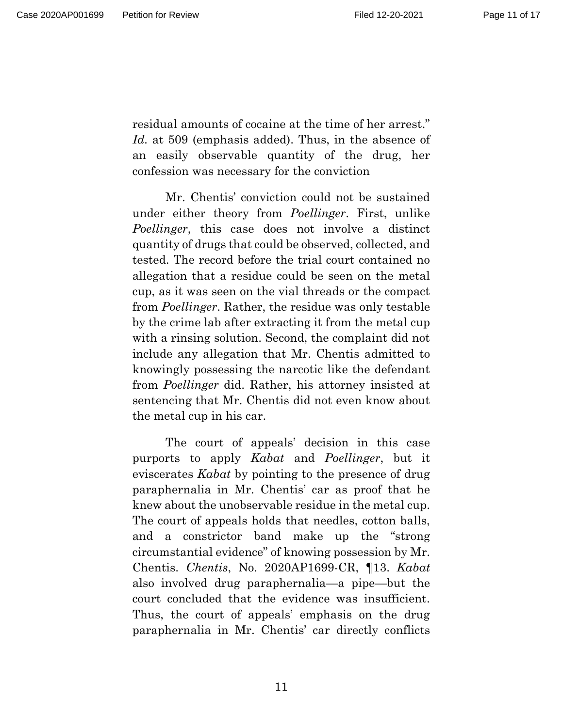residual amounts of cocaine at the time of her arrest." *Id.* at 509 (emphasis added). Thus, in the absence of an easily observable quantity of the drug, her confession was necessary for the conviction

Mr. Chentis' conviction could not be sustained under either theory from *Poellinger*. First, unlike *Poellinger*, this case does not involve a distinct quantity of drugs that could be observed, collected, and tested. The record before the trial court contained no allegation that a residue could be seen on the metal cup, as it was seen on the vial threads or the compact from *Poellinger*. Rather, the residue was only testable by the crime lab after extracting it from the metal cup with a rinsing solution. Second, the complaint did not include any allegation that Mr. Chentis admitted to knowingly possessing the narcotic like the defendant from *Poellinger* did. Rather, his attorney insisted at sentencing that Mr. Chentis did not even know about the metal cup in his car.

The court of appeals' decision in this case purports to apply *Kabat* and *Poellinger*, but it eviscerates *Kabat* by pointing to the presence of drug paraphernalia in Mr. Chentis' car as proof that he knew about the unobservable residue in the metal cup. The court of appeals holds that needles, cotton balls, and a constrictor band make up the "strong circumstantial evidence" of knowing possession by Mr. Chentis. *Chentis*, No. 2020AP1699-CR, ¶13. *Kabat* also involved drug paraphernalia—a pipe—but the court concluded that the evidence was insufficient. Thus, the court of appeals' emphasis on the drug paraphernalia in Mr. Chentis' car directly conflicts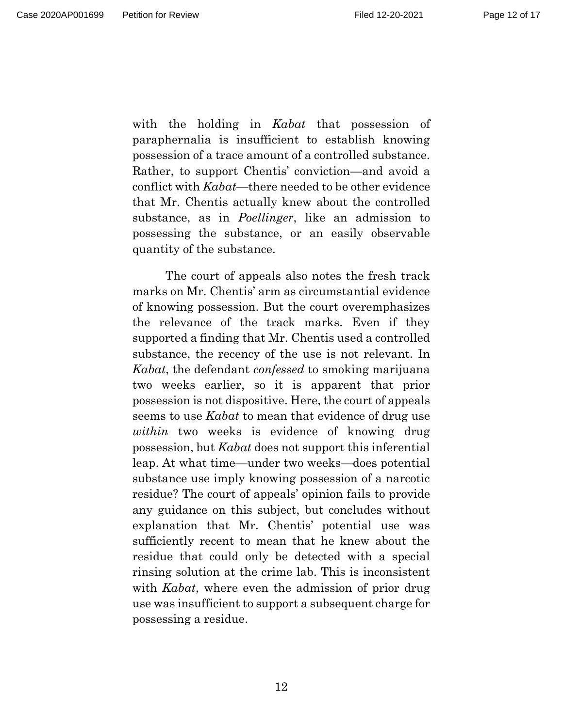with the holding in *Kabat* that possession of paraphernalia is insufficient to establish knowing possession of a trace amount of a controlled substance. Rather, to support Chentis' conviction—and avoid a conflict with *Kabat*—there needed to be other evidence that Mr. Chentis actually knew about the controlled substance, as in *Poellinger*, like an admission to possessing the substance, or an easily observable quantity of the substance.

The court of appeals also notes the fresh track marks on Mr. Chentis' arm as circumstantial evidence of knowing possession. But the court overemphasizes the relevance of the track marks. Even if they supported a finding that Mr. Chentis used a controlled substance, the recency of the use is not relevant. In *Kabat*, the defendant *confessed* to smoking marijuana two weeks earlier, so it is apparent that prior possession is not dispositive. Here, the court of appeals seems to use *Kabat* to mean that evidence of drug use *within* two weeks is evidence of knowing drug possession, but *Kabat* does not support this inferential leap. At what time—under two weeks—does potential substance use imply knowing possession of a narcotic residue? The court of appeals' opinion fails to provide any guidance on this subject, but concludes without explanation that Mr. Chentis' potential use was sufficiently recent to mean that he knew about the residue that could only be detected with a special rinsing solution at the crime lab. This is inconsistent with *Kabat*, where even the admission of prior drug use was insufficient to support a subsequent charge for possessing a residue.

12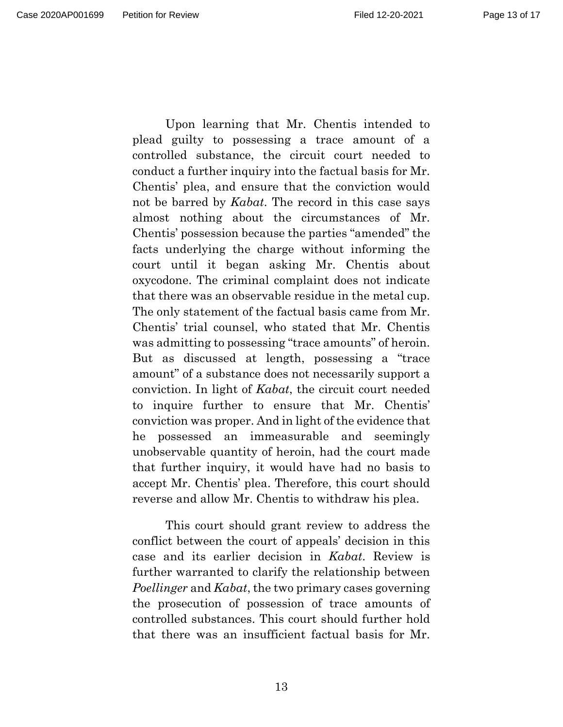Upon learning that Mr. Chentis intended to plead guilty to possessing a trace amount of a controlled substance, the circuit court needed to conduct a further inquiry into the factual basis for Mr. Chentis' plea, and ensure that the conviction would not be barred by *Kabat*. The record in this case says almost nothing about the circumstances of Mr. Chentis' possession because the parties "amended" the facts underlying the charge without informing the court until it began asking Mr. Chentis about oxycodone. The criminal complaint does not indicate that there was an observable residue in the metal cup. The only statement of the factual basis came from Mr. Chentis' trial counsel, who stated that Mr. Chentis was admitting to possessing "trace amounts" of heroin. But as discussed at length, possessing a "trace amount" of a substance does not necessarily support a conviction. In light of *Kabat*, the circuit court needed to inquire further to ensure that Mr. Chentis' conviction was proper. And in light of the evidence that he possessed an immeasurable and seemingly unobservable quantity of heroin, had the court made that further inquiry, it would have had no basis to accept Mr. Chentis' plea. Therefore, this court should reverse and allow Mr. Chentis to withdraw his plea.

This court should grant review to address the conflict between the court of appeals' decision in this case and its earlier decision in *Kabat*. Review is further warranted to clarify the relationship between *Poellinger* and *Kabat*, the two primary cases governing the prosecution of possession of trace amounts of controlled substances. This court should further hold that there was an insufficient factual basis for Mr.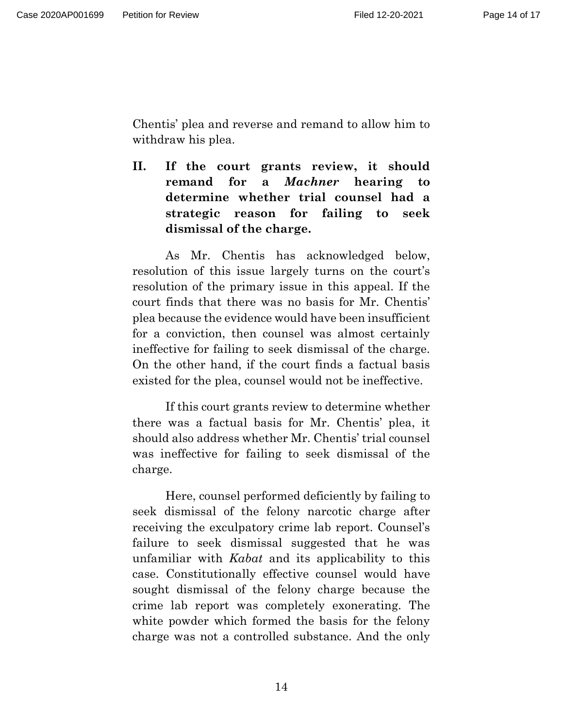Chentis' plea and reverse and remand to allow him to withdraw his plea.

<span id="page-13-0"></span>**II. If the court grants review, it should remand for a** *Machner* **hearing to determine whether trial counsel had a strategic reason for failing to seek dismissal of the charge.**

As Mr. Chentis has acknowledged below, resolution of this issue largely turns on the court's resolution of the primary issue in this appeal. If the court finds that there was no basis for Mr. Chentis' plea because the evidence would have been insufficient for a conviction, then counsel was almost certainly ineffective for failing to seek dismissal of the charge. On the other hand, if the court finds a factual basis existed for the plea, counsel would not be ineffective.

If this court grants review to determine whether there was a factual basis for Mr. Chentis' plea, it should also address whether Mr. Chentis' trial counsel was ineffective for failing to seek dismissal of the charge.

Here, counsel performed deficiently by failing to seek dismissal of the felony narcotic charge after receiving the exculpatory crime lab report. Counsel's failure to seek dismissal suggested that he was unfamiliar with *Kabat* and its applicability to this case. Constitutionally effective counsel would have sought dismissal of the felony charge because the crime lab report was completely exonerating. The white powder which formed the basis for the felony charge was not a controlled substance. And the only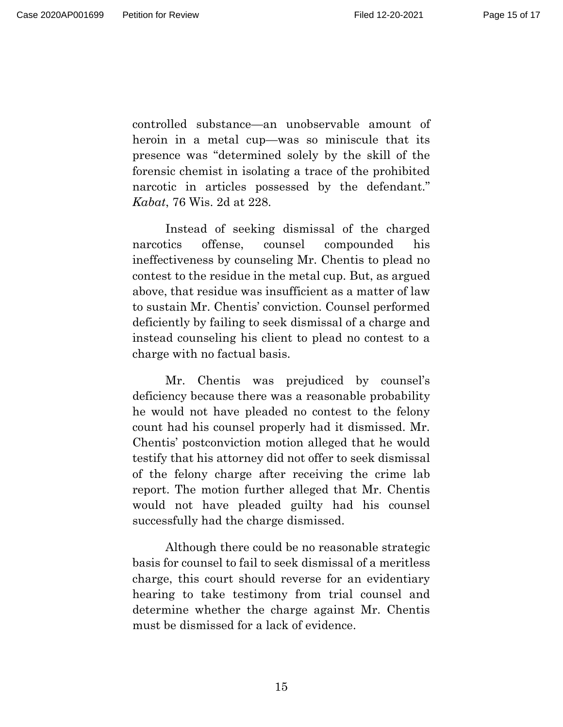controlled substance—an unobservable amount of heroin in a metal cup—was so miniscule that its presence was "determined solely by the skill of the forensic chemist in isolating a trace of the prohibited narcotic in articles possessed by the defendant." *Kabat*, 76 Wis. 2d at 228.

Instead of seeking dismissal of the charged narcotics offense, counsel compounded his ineffectiveness by counseling Mr. Chentis to plead no contest to the residue in the metal cup. But, as argued above, that residue was insufficient as a matter of law to sustain Mr. Chentis' conviction. Counsel performed deficiently by failing to seek dismissal of a charge and instead counseling his client to plead no contest to a charge with no factual basis.

Mr. Chentis was prejudiced by counsel's deficiency because there was a reasonable probability he would not have pleaded no contest to the felony count had his counsel properly had it dismissed. Mr. Chentis' postconviction motion alleged that he would testify that his attorney did not offer to seek dismissal of the felony charge after receiving the crime lab report. The motion further alleged that Mr. Chentis would not have pleaded guilty had his counsel successfully had the charge dismissed.

Although there could be no reasonable strategic basis for counsel to fail to seek dismissal of a meritless charge, this court should reverse for an evidentiary hearing to take testimony from trial counsel and determine whether the charge against Mr. Chentis must be dismissed for a lack of evidence.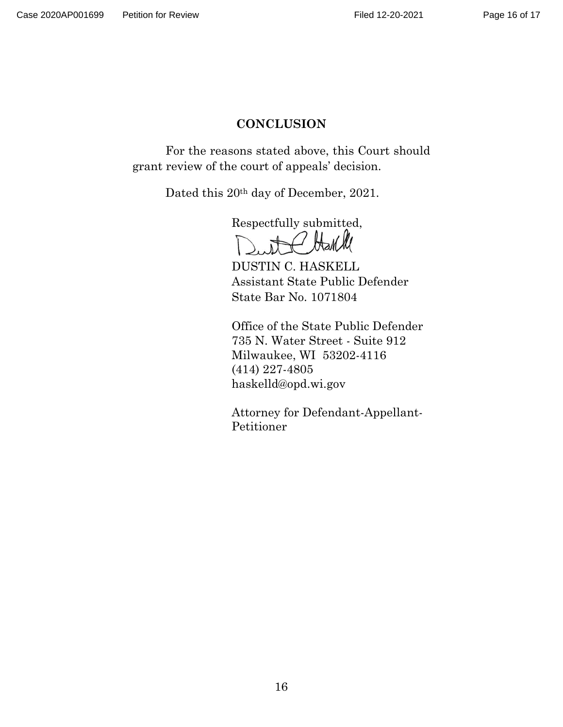# **CONCLUSION**

<span id="page-15-0"></span>For the reasons stated above, this Court should grant review of the court of appeals' decision.

Dated this 20<sup>th</sup> day of December, 2021.

Respectfully submitted,

DUSTIN C. HASKELL Assistant State Public Defender State Bar No. 1071804

Office of the State Public Defender 735 N. Water Street - Suite 912 Milwaukee, WI 53202-4116 (414) 227-4805 haskelld@opd.wi.gov

Attorney for Defendant-Appellant-Petitioner